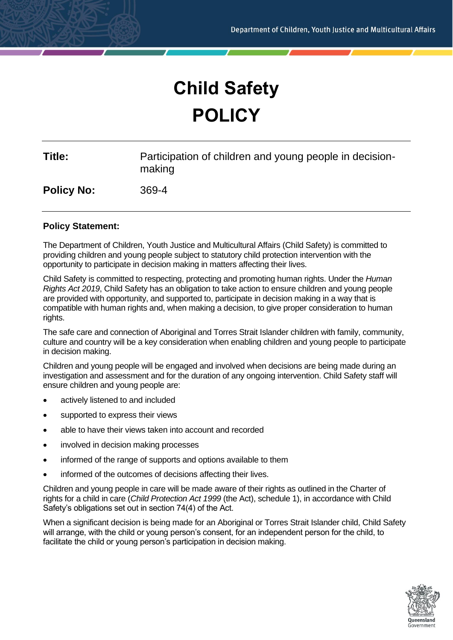# **Child Safety POLICY**

| Title:            | Participation of children and young people in decision-<br>making |
|-------------------|-------------------------------------------------------------------|
| <b>Policy No:</b> | 369-4                                                             |

# **Policy Statement:**

The Department of Children, Youth Justice and Multicultural Affairs (Child Safety) is committed to providing children and young people subject to statutory child protection intervention with the opportunity to participate in decision making in matters affecting their lives.

Child Safety is committed to respecting, protecting and promoting human rights. Under the *Human Rights Act 2019*, Child Safety has an obligation to take action to ensure children and young people are provided with opportunity, and supported to, participate in decision making in a way that is compatible with human rights and, when making a decision, to give proper consideration to human rights.

The safe care and connection of Aboriginal and Torres Strait Islander children with family, community, culture and country will be a key consideration when enabling children and young people to participate in decision making.

Children and young people will be engaged and involved when decisions are being made during an investigation and assessment and for the duration of any ongoing intervention. Child Safety staff will ensure children and young people are:

- actively listened to and included
- supported to express their views
- able to have their views taken into account and recorded
- involved in decision making processes
- informed of the range of supports and options available to them
- informed of the outcomes of decisions affecting their lives.

Children and young people in care will be made aware of their rights as outlined in the Charter of rights for a child in care (*Child Protection Act 1999* (the Act), schedule 1), in accordance with Child Safety's obligations set out in section 74(4) of the Act.

When a significant decision is being made for an Aboriginal or Torres Strait Islander child, Child Safety will arrange, with the child or young person's consent, for an independent person for the child, to facilitate the child or young person's participation in decision making.

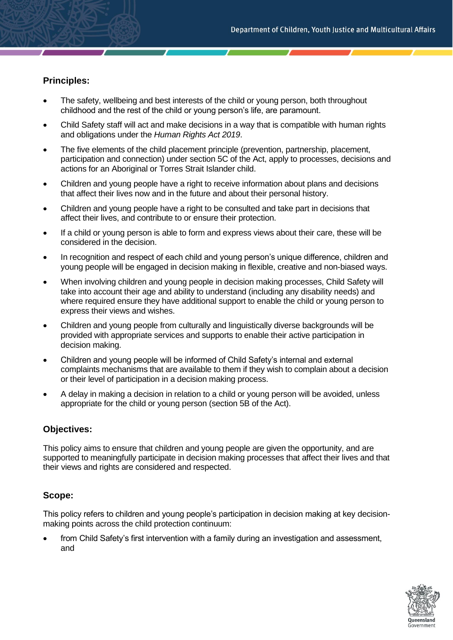# **Principles:**

- The safety, wellbeing and best interests of the child or young person, both throughout childhood and the rest of the child or young person's life, are paramount.
- Child Safety staff will act and make decisions in a way that is compatible with human rights and obligations under the *Human Rights Act 2019*.
- The five elements of the child placement principle (prevention, partnership, placement, participation and connection) under section 5C of the Act, apply to processes, decisions and actions for an Aboriginal or Torres Strait Islander child.
- Children and young people have a right to receive information about plans and decisions that affect their lives now and in the future and about their personal history.
- Children and young people have a right to be consulted and take part in decisions that affect their lives, and contribute to or ensure their protection.
- If a child or young person is able to form and express views about their care, these will be considered in the decision.
- In recognition and respect of each child and young person's unique difference, children and young people will be engaged in decision making in flexible, creative and non-biased ways.
- When involving children and young people in decision making processes, Child Safety will take into account their age and ability to understand (including any disability needs) and where required ensure they have additional support to enable the child or young person to express their views and wishes.
- Children and young people from culturally and linguistically diverse backgrounds will be provided with appropriate services and supports to enable their active participation in decision making.
- Children and young people will be informed of Child Safety's internal and external complaints mechanisms that are available to them if they wish to complain about a decision or their level of participation in a decision making process.
- A delay in making a decision in relation to a child or young person will be avoided, unless appropriate for the child or young person (section 5B of the Act).

# **Objectives:**

This policy aims to ensure that children and young people are given the opportunity, and are supported to meaningfully participate in decision making processes that affect their lives and that their views and rights are considered and respected.

# **Scope:**

This policy refers to children and young people's participation in decision making at key decisionmaking points across the child protection continuum:

from Child Safety's first intervention with a family during an investigation and assessment, and

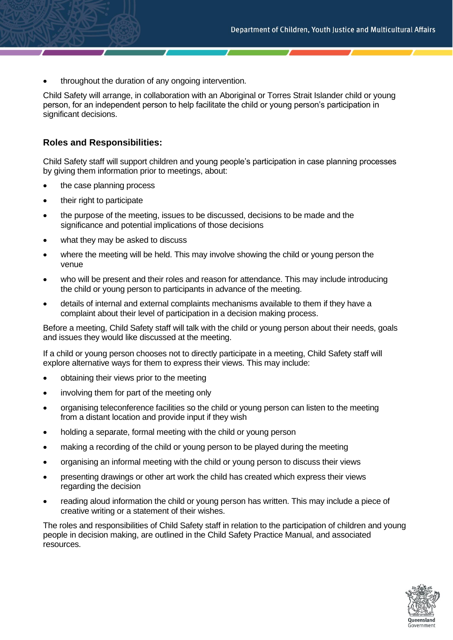• throughout the duration of any ongoing intervention.

Child Safety will arrange, in collaboration with an Aboriginal or Torres Strait Islander child or young person, for an independent person to help facilitate the child or young person's participation in significant decisions.

# **Roles and Responsibilities:**

Child Safety staff will support children and young people's participation in case planning processes by giving them information prior to meetings, about:

- the case planning process
- their right to participate
- the purpose of the meeting, issues to be discussed, decisions to be made and the significance and potential implications of those decisions
- what they may be asked to discuss
- where the meeting will be held. This may involve showing the child or young person the venue
- who will be present and their roles and reason for attendance. This may include introducing the child or young person to participants in advance of the meeting.
- details of internal and external complaints mechanisms available to them if they have a complaint about their level of participation in a decision making process.

Before a meeting, Child Safety staff will talk with the child or young person about their needs, goals and issues they would like discussed at the meeting.

If a child or young person chooses not to directly participate in a meeting, Child Safety staff will explore alternative ways for them to express their views. This may include:

- obtaining their views prior to the meeting
- involving them for part of the meeting only
- organising teleconference facilities so the child or young person can listen to the meeting from a distant location and provide input if they wish
- holding a separate, formal meeting with the child or young person
- making a recording of the child or young person to be played during the meeting
- organising an informal meeting with the child or young person to discuss their views
- presenting drawings or other art work the child has created which express their views regarding the decision
- reading aloud information the child or young person has written. This may include a piece of creative writing or a statement of their wishes.

The roles and responsibilities of Child Safety staff in relation to the participation of children and young people in decision making, are outlined in the Child Safety Practice Manual, and associated resources.

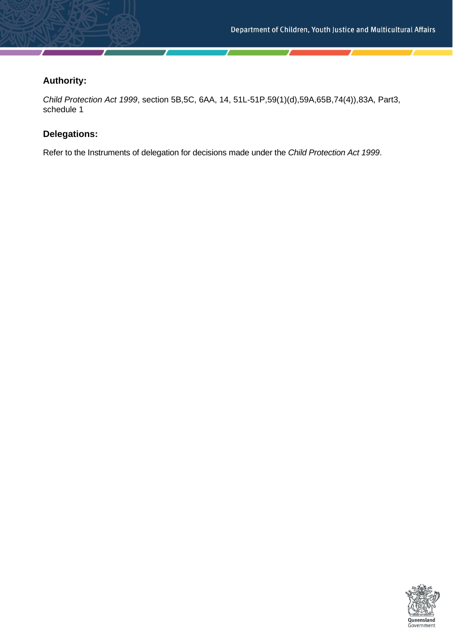# **Authority:**

*Child Protection Act 1999*, section 5B,5C, 6AA, 14, 51L-51P,59(1)(d),59A,65B,74(4)),83A, Part3, schedule 1

# **Delegations:**

Refer to the Instruments of delegation for decisions made under the *Child Protection Act 1999*.